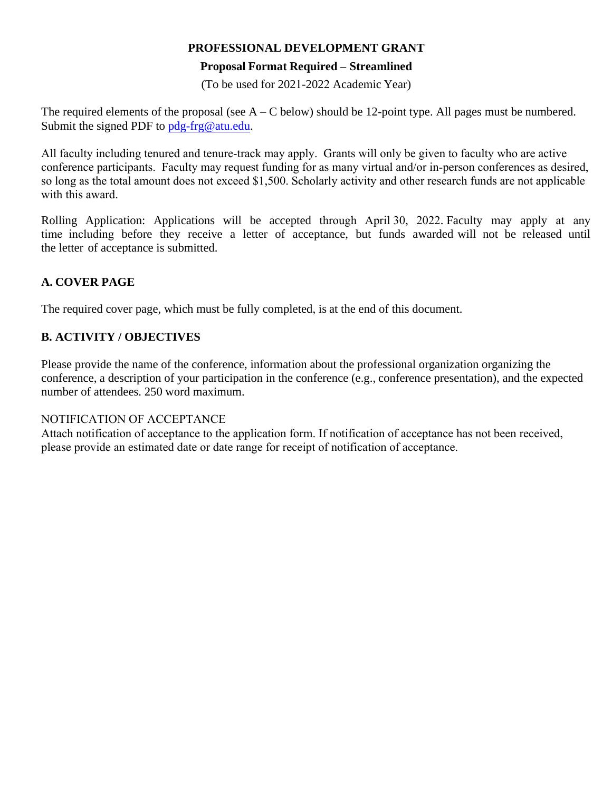## **PROFESSIONAL DEVELOPMENT GRANT**

## **Proposal Format Required – Streamlined**

(To be used for 2021-2022 Academic Year)

The required elements of the proposal (see  $A - C$  below) should be 12-point type. All pages must be numbered. Submit the signed PDF to pdg-frg@atu.edu.

All faculty including tenured and tenure-track may apply. Grants will only be given to faculty who are active conference participants. Faculty may request funding for as many virtual and/or in-person conferences as desired, so long as the total amount does not exceed \$1,500. Scholarly activity and other research funds are not applicable with this award.

Rolling Application: Applications will be accepted through April 30, 2022. Faculty may apply at any time including before they receive a letter of acceptance, but funds awarded will not be released until the letter of acceptance is submitted.

## **A. COVER PAGE**

The required cover page, which must be fully completed, is at the end of this document.

## **B. ACTIVITY / OBJECTIVES**

Please provide the name of the conference, information about the professional organization organizing the conference, a description of your participation in the conference (e.g., conference presentation), and the expected number of attendees. 250 word maximum.

## NOTIFICATION OF ACCEPTANCE

Attach notification of acceptance to the application form. If notification of acceptance has not been received, please provide an estimated date or date range for receipt of notification of acceptance.